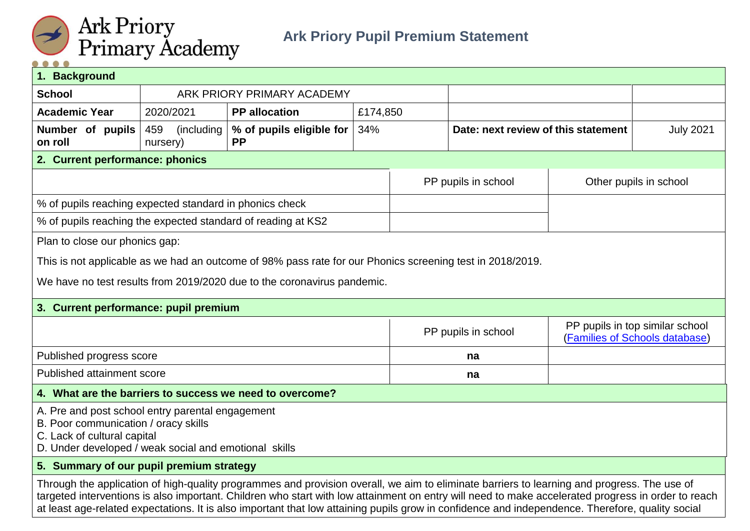

| 1. Background                                                                                                                                                                                                                                                                                                                                                                                                                                         |                               |                                                                                                           |          |                     |                                     |                                                                   |
|-------------------------------------------------------------------------------------------------------------------------------------------------------------------------------------------------------------------------------------------------------------------------------------------------------------------------------------------------------------------------------------------------------------------------------------------------------|-------------------------------|-----------------------------------------------------------------------------------------------------------|----------|---------------------|-------------------------------------|-------------------------------------------------------------------|
| <b>School</b>                                                                                                                                                                                                                                                                                                                                                                                                                                         |                               | ARK PRIORY PRIMARY ACADEMY                                                                                |          |                     |                                     |                                                                   |
| <b>Academic Year</b>                                                                                                                                                                                                                                                                                                                                                                                                                                  | 2020/2021                     | <b>PP</b> allocation                                                                                      | £174,850 |                     |                                     |                                                                   |
| Number of pupils<br>on roll                                                                                                                                                                                                                                                                                                                                                                                                                           | 459<br>(including<br>nursery) | % of pupils eligible for<br><b>PP</b>                                                                     | 34%      |                     | Date: next review of this statement | <b>July 2021</b>                                                  |
| 2. Current performance: phonics                                                                                                                                                                                                                                                                                                                                                                                                                       |                               |                                                                                                           |          |                     |                                     |                                                                   |
|                                                                                                                                                                                                                                                                                                                                                                                                                                                       |                               |                                                                                                           |          | PP pupils in school |                                     | Other pupils in school                                            |
| % of pupils reaching expected standard in phonics check                                                                                                                                                                                                                                                                                                                                                                                               |                               |                                                                                                           |          |                     |                                     |                                                                   |
| % of pupils reaching the expected standard of reading at KS2                                                                                                                                                                                                                                                                                                                                                                                          |                               |                                                                                                           |          |                     |                                     |                                                                   |
| Plan to close our phonics gap:                                                                                                                                                                                                                                                                                                                                                                                                                        |                               |                                                                                                           |          |                     |                                     |                                                                   |
|                                                                                                                                                                                                                                                                                                                                                                                                                                                       |                               | This is not applicable as we had an outcome of 98% pass rate for our Phonics screening test in 2018/2019. |          |                     |                                     |                                                                   |
|                                                                                                                                                                                                                                                                                                                                                                                                                                                       |                               | We have no test results from 2019/2020 due to the coronavirus pandemic.                                   |          |                     |                                     |                                                                   |
|                                                                                                                                                                                                                                                                                                                                                                                                                                                       |                               |                                                                                                           |          |                     |                                     |                                                                   |
| 3. Current performance: pupil premium                                                                                                                                                                                                                                                                                                                                                                                                                 |                               |                                                                                                           |          |                     |                                     |                                                                   |
|                                                                                                                                                                                                                                                                                                                                                                                                                                                       |                               |                                                                                                           |          | PP pupils in school |                                     | PP pupils in top similar school<br>(Families of Schools database) |
| Published progress score                                                                                                                                                                                                                                                                                                                                                                                                                              |                               |                                                                                                           | na       |                     |                                     |                                                                   |
| Published attainment score                                                                                                                                                                                                                                                                                                                                                                                                                            |                               |                                                                                                           | na       |                     |                                     |                                                                   |
|                                                                                                                                                                                                                                                                                                                                                                                                                                                       |                               | 4. What are the barriers to success we need to overcome?                                                  |          |                     |                                     |                                                                   |
| A. Pre and post school entry parental engagement<br>B. Poor communication / oracy skills<br>C. Lack of cultural capital<br>D. Under developed / weak social and emotional skills                                                                                                                                                                                                                                                                      |                               |                                                                                                           |          |                     |                                     |                                                                   |
| 5. Summary of our pupil premium strategy                                                                                                                                                                                                                                                                                                                                                                                                              |                               |                                                                                                           |          |                     |                                     |                                                                   |
| Through the application of high-quality programmes and provision overall, we aim to eliminate barriers to learning and progress. The use of<br>targeted interventions is also important. Children who start with low attainment on entry will need to make accelerated progress in order to reach<br>at least age-related expectations. It is also important that low attaining pupils grow in confidence and independence. Therefore, quality social |                               |                                                                                                           |          |                     |                                     |                                                                   |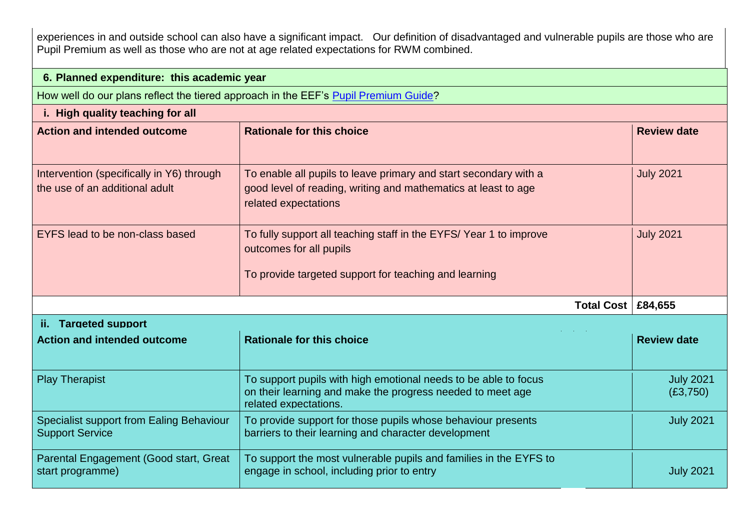experiences in and outside school can also have a significant impact. Our definition of disadvantaged and vulnerable pupils are those who are Pupil Premium as well as those who are not at age related expectations for RWM combined.

| 6. Planned expenditure: this academic year                                          |                                                                                                                                                                                |                              |  |
|-------------------------------------------------------------------------------------|--------------------------------------------------------------------------------------------------------------------------------------------------------------------------------|------------------------------|--|
| How well do our plans reflect the tiered approach in the EEF's Pupil Premium Guide? |                                                                                                                                                                                |                              |  |
| i. High quality teaching for all                                                    |                                                                                                                                                                                |                              |  |
| <b>Action and intended outcome</b>                                                  | <b>Rationale for this choice</b>                                                                                                                                               | <b>Review date</b>           |  |
| Intervention (specifically in Y6) through<br>the use of an additional adult         | <b>July 2021</b><br>To enable all pupils to leave primary and start secondary with a<br>good level of reading, writing and mathematics at least to age<br>related expectations |                              |  |
| EYFS lead to be non-class based                                                     | To fully support all teaching staff in the EYFS/Year 1 to improve<br>outcomes for all pupils<br>To provide targeted support for teaching and learning                          | <b>July 2021</b>             |  |
|                                                                                     | <b>Total Cost   £84,655</b>                                                                                                                                                    |                              |  |
| <b>Targeted support</b><br>Ħ.                                                       |                                                                                                                                                                                |                              |  |
| <b>Action and intended outcome</b>                                                  | <b>Rationale for this choice</b>                                                                                                                                               | <b>Review date</b>           |  |
| <b>Play Therapist</b>                                                               | To support pupils with high emotional needs to be able to focus<br>on their learning and make the progress needed to meet age<br>related expectations.                         | <b>July 2021</b><br>(E3,750) |  |
| Specialist support from Ealing Behaviour<br><b>Support Service</b>                  | To provide support for those pupils whose behaviour presents<br>barriers to their learning and character development                                                           |                              |  |
| Parental Engagement (Good start, Great<br>start programme)                          | To support the most vulnerable pupils and families in the EYFS to<br>engage in school, including prior to entry                                                                |                              |  |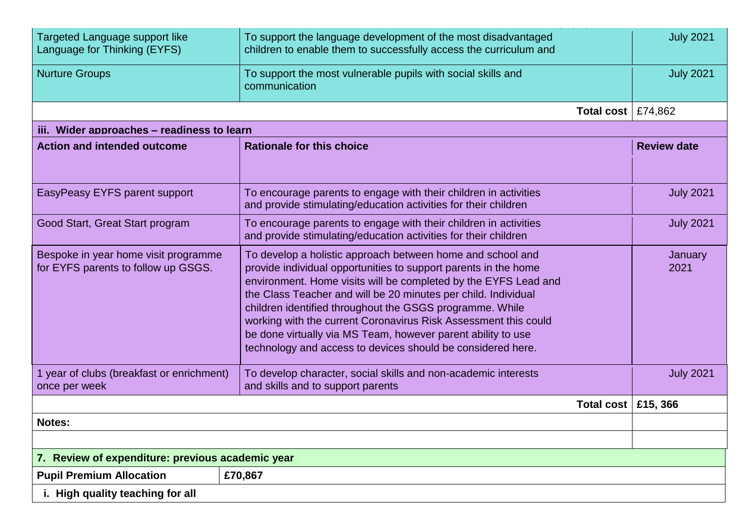| Targeted Language support like<br>Language for Thinking (EYFS)              | To support the language development of the most disadvantaged<br>children to enable them to successfully access the curriculum and                                                                                                                                                                                                                                                                                                                                                                                               | <b>July 2021</b>   |
|-----------------------------------------------------------------------------|----------------------------------------------------------------------------------------------------------------------------------------------------------------------------------------------------------------------------------------------------------------------------------------------------------------------------------------------------------------------------------------------------------------------------------------------------------------------------------------------------------------------------------|--------------------|
| <b>Nurture Groups</b>                                                       | To support the most vulnerable pupils with social skills and<br>communication                                                                                                                                                                                                                                                                                                                                                                                                                                                    | <b>July 2021</b>   |
|                                                                             | Total cost $\vert$ £74,862                                                                                                                                                                                                                                                                                                                                                                                                                                                                                                       |                    |
| iii. Wider approaches - readiness to learn                                  |                                                                                                                                                                                                                                                                                                                                                                                                                                                                                                                                  |                    |
| <b>Action and intended outcome</b>                                          | <b>Rationale for this choice</b>                                                                                                                                                                                                                                                                                                                                                                                                                                                                                                 | <b>Review date</b> |
| EasyPeasy EYFS parent support                                               | To encourage parents to engage with their children in activities<br>and provide stimulating/education activities for their children                                                                                                                                                                                                                                                                                                                                                                                              | <b>July 2021</b>   |
| Good Start, Great Start program                                             | To encourage parents to engage with their children in activities<br>and provide stimulating/education activities for their children                                                                                                                                                                                                                                                                                                                                                                                              | <b>July 2021</b>   |
| Bespoke in year home visit programme<br>for EYFS parents to follow up GSGS. | To develop a holistic approach between home and school and<br>provide individual opportunities to support parents in the home<br>environment. Home visits will be completed by the EYFS Lead and<br>the Class Teacher and will be 20 minutes per child. Individual<br>children identified throughout the GSGS programme. While<br>working with the current Coronavirus Risk Assessment this could<br>be done virtually via MS Team, however parent ability to use<br>technology and access to devices should be considered here. | January<br>2021    |
| 1 year of clubs (breakfast or enrichment)<br>once per week                  | To develop character, social skills and non-academic interests<br>and skills and to support parents                                                                                                                                                                                                                                                                                                                                                                                                                              | <b>July 2021</b>   |
|                                                                             | Total cost $\vert$ £15, 366                                                                                                                                                                                                                                                                                                                                                                                                                                                                                                      |                    |
| Notes:                                                                      |                                                                                                                                                                                                                                                                                                                                                                                                                                                                                                                                  |                    |
|                                                                             |                                                                                                                                                                                                                                                                                                                                                                                                                                                                                                                                  |                    |
| 7. Review of expenditure: previous academic year                            |                                                                                                                                                                                                                                                                                                                                                                                                                                                                                                                                  |                    |
| <b>Pupil Premium Allocation</b>                                             | £70,867                                                                                                                                                                                                                                                                                                                                                                                                                                                                                                                          |                    |
| i. High quality teaching for all                                            |                                                                                                                                                                                                                                                                                                                                                                                                                                                                                                                                  |                    |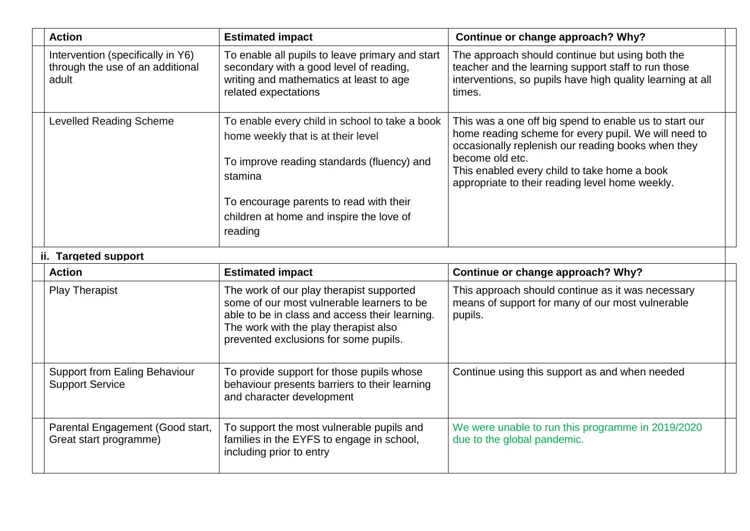| <b>Action</b>                                                                  | <b>Estimated impact</b>                                                                                                                                                                                                                         | Continue or change approach? Why?                                                                                                                                                                                                                                                          |  |
|--------------------------------------------------------------------------------|-------------------------------------------------------------------------------------------------------------------------------------------------------------------------------------------------------------------------------------------------|--------------------------------------------------------------------------------------------------------------------------------------------------------------------------------------------------------------------------------------------------------------------------------------------|--|
| Intervention (specifically in Y6)<br>through the use of an additional<br>adult | To enable all pupils to leave primary and start<br>secondary with a good level of reading,<br>writing and mathematics at least to age<br>related expectations                                                                                   | The approach should continue but using both the<br>teacher and the learning support staff to run those<br>interventions, so pupils have high quality learning at all<br>times.                                                                                                             |  |
| <b>Levelled Reading Scheme</b>                                                 | To enable every child in school to take a book<br>home weekly that is at their level<br>To improve reading standards (fluency) and<br>stamina<br>To encourage parents to read with their<br>children at home and inspire the love of<br>reading | This was a one off big spend to enable us to start our<br>home reading scheme for every pupil. We will need to<br>occasionally replenish our reading books when they<br>become old etc.<br>This enabled every child to take home a book<br>appropriate to their reading level home weekly. |  |
| ii. Targeted support                                                           |                                                                                                                                                                                                                                                 |                                                                                                                                                                                                                                                                                            |  |
| <b>Action</b>                                                                  | <b>Estimated impact</b>                                                                                                                                                                                                                         | Continue or change approach? Why?                                                                                                                                                                                                                                                          |  |
| <b>Play Therapist</b>                                                          | The work of our play therapist supported<br>some of our most vulnerable learners to be<br>able to be in class and access their learning.<br>The work with the play therapist also<br>prevented exclusions for some pupils.                      | This approach should continue as it was necessary<br>means of support for many of our most vulnerable<br>pupils.                                                                                                                                                                           |  |
| <b>Support from Ealing Behaviour</b><br><b>Support Service</b>                 | To provide support for those pupils whose<br>behaviour presents barriers to their learning<br>and character development                                                                                                                         | Continue using this support as and when needed                                                                                                                                                                                                                                             |  |
| Parental Engagement (Good start,<br>Great start programme)                     | To support the most vulnerable pupils and<br>families in the EYFS to engage in school,<br>including prior to entry                                                                                                                              | We were unable to run this programme in 2019/2020<br>due to the global pandemic.                                                                                                                                                                                                           |  |